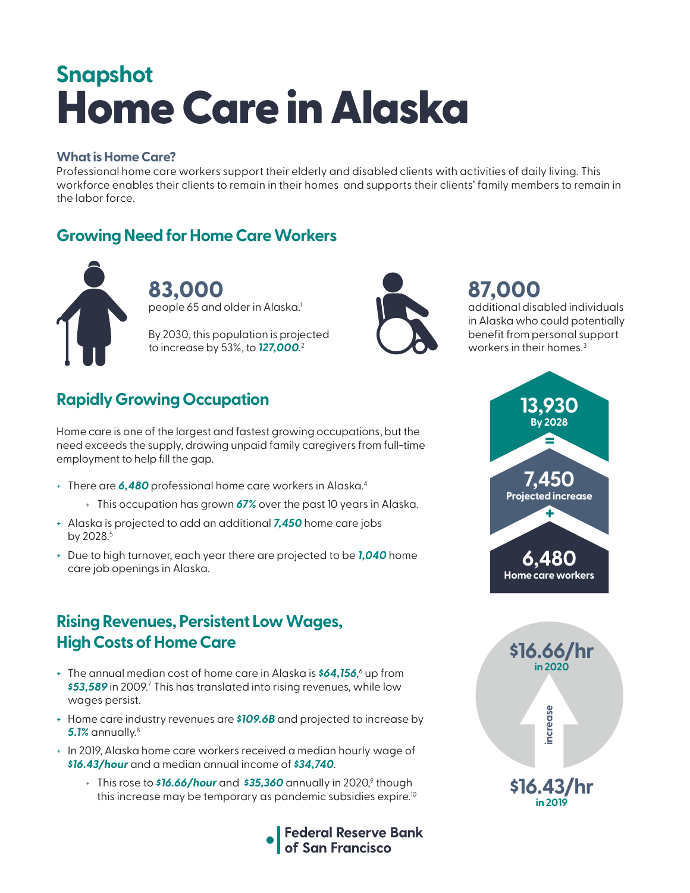# Home Care in Alaska **Snapshot**

#### **What is Home Care?**

Professional home care workers support their elderly and disabled clients with activities of daily living. This workforce enables their clients to remain in their homes and supports their clients' family members to remain in the labor force.

### **Growing Need for Home Care Workers**



**83,000**  people 65 and older in Alaska. $^{\rm 1}$ 

By 2030, this population is projected to increase by 53%, to *127,000*. 2



# **87,000**

additional disabled individuals in Alaska who could potentially benefit from personal support workers in their homes.<sup>3</sup>

# **Rapidly Growing Occupation**

Home care is one of the largest and fastest growing occupations, but the need exceeds the supply, drawing unpaid family caregivers from full-time employment to help fill the gap.

- + There are *6,480* professional home care workers in Alaska.4
	- + This occupation has grown *67%* over the past 10 years in Alaska.
- + Alaska is projected to add an additional *7,450* home care jobs by 2028.<sup>5</sup>
- + Due to high turnover, each year there are projected to be *1,040* home care job openings in Alaska.

### **Rising Revenues, Persistent Low Wages, High Costs of Home Care**

- + The annual median cost of home care in Alaska is *\$64,156*, 6 up from \$53,589 in 2009.<sup>7</sup> This has translated into rising revenues, while low wages persist.
- + Home care industry revenues are *\$109.6B* and projected to increase by *5.1%* annually.8
- + In 2019, Alaska home care workers received a median hourly wage of *\$16.43/hour* and a median annual income of *\$34,740*.
	- + This rose to **\$16.66/hour** and **\$35,360** annually in 2020,<sup>9</sup> though this increase may be temporary as pandemic subsidies expire.<sup>10</sup>





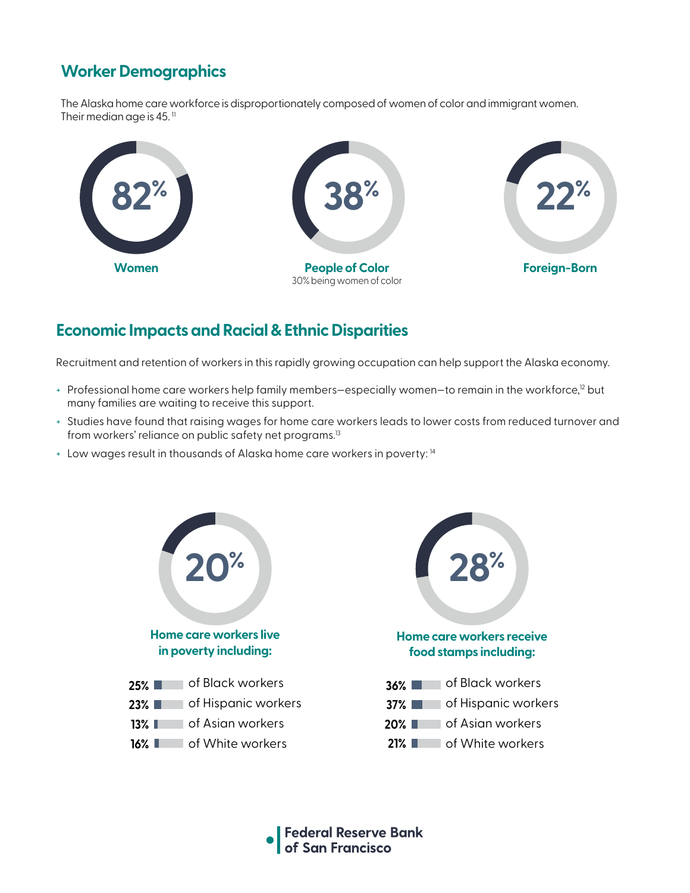## **Worker Demographics**

The Alaska home care workforce is disproportionately composed of women of color and immigrant women. Their median age is 45. $<sup>11</sup>$ </sup>



### **Economic Impacts and Racial & Ethnic Disparities**

Recruitment and retention of workers in this rapidly growing occupation can help support the Alaska economy.

- + Professional home care workers help family members-especially women-to remain in the workforce,<sup>12</sup> but many families are waiting to receive this support.
- + Studies have found that raising wages for home care workers leads to lower costs from reduced turnover and from workers' reliance on public safety net programs.<sup>13</sup>
- + Low wages result in thousands of Alaska home care workers in poverty: 14